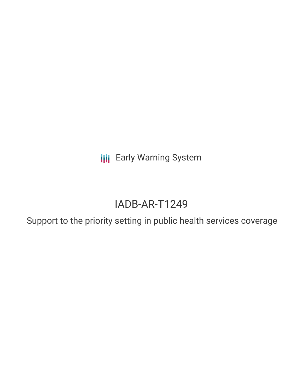**III** Early Warning System

# IADB-AR-T1249

Support to the priority setting in public health services coverage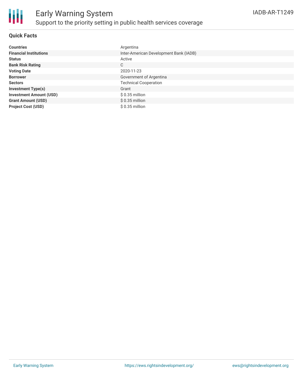

# **Quick Facts**

| <b>Countries</b>               | Argentina                              |
|--------------------------------|----------------------------------------|
| <b>Financial Institutions</b>  | Inter-American Development Bank (IADB) |
| <b>Status</b>                  | Active                                 |
| <b>Bank Risk Rating</b>        | C                                      |
| <b>Voting Date</b>             | 2020-11-23                             |
| <b>Borrower</b>                | Government of Argentina                |
| <b>Sectors</b>                 | <b>Technical Cooperation</b>           |
| <b>Investment Type(s)</b>      | Grant                                  |
| <b>Investment Amount (USD)</b> | $$0.35$ million                        |
| <b>Grant Amount (USD)</b>      | $$0.35$ million                        |
| <b>Project Cost (USD)</b>      | $$0.35$ million                        |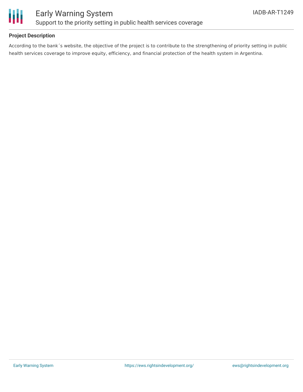

# **Project Description**

According to the bank´s website, the objective of the project is to contribute to the strengthening of priority setting in public health services coverage to improve equity, efficiency, and financial protection of the health system in Argentina.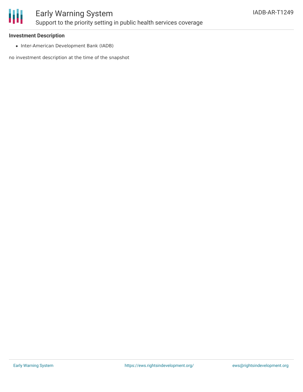

#### **Investment Description**

• Inter-American Development Bank (IADB)

no investment description at the time of the snapshot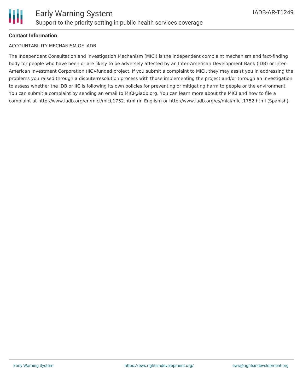# **Contact Information**

#### ACCOUNTABILITY MECHANISM OF IADB

The Independent Consultation and Investigation Mechanism (MICI) is the independent complaint mechanism and fact-finding body for people who have been or are likely to be adversely affected by an Inter-American Development Bank (IDB) or Inter-American Investment Corporation (IIC)-funded project. If you submit a complaint to MICI, they may assist you in addressing the problems you raised through a dispute-resolution process with those implementing the project and/or through an investigation to assess whether the IDB or IIC is following its own policies for preventing or mitigating harm to people or the environment. You can submit a complaint by sending an email to MICI@iadb.org. You can learn more about the MICI and how to file a complaint at http://www.iadb.org/en/mici/mici,1752.html (in English) or http://www.iadb.org/es/mici/mici,1752.html (Spanish).